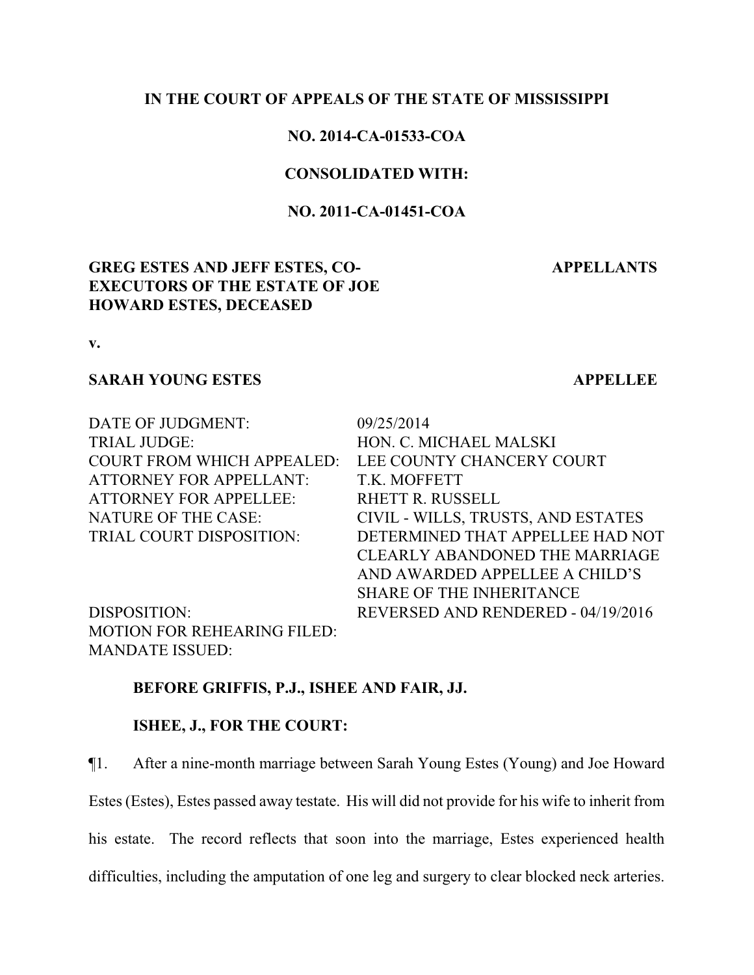### **IN THE COURT OF APPEALS OF THE STATE OF MISSISSIPPI**

## **NO. 2014-CA-01533-COA**

### **CONSOLIDATED WITH:**

## **NO. 2011-CA-01451-COA**

## **GREG ESTES AND JEFF ESTES, CO-EXECUTORS OF THE ESTATE OF JOE HOWARD ESTES, DECEASED**

## **APPELLANTS**

**v.**

## **SARAH YOUNG ESTES APPELLEE**

| DATE OF JUDGMENT:                  | 09/25/2014                            |
|------------------------------------|---------------------------------------|
| <b>TRIAL JUDGE:</b>                | HON. C. MICHAEL MALSKI                |
| <b>COURT FROM WHICH APPEALED:</b>  | LEE COUNTY CHANCERY COURT             |
| <b>ATTORNEY FOR APPELLANT:</b>     | T.K. MOFFETT                          |
| <b>ATTORNEY FOR APPELLEE:</b>      | <b>RHETT R. RUSSELL</b>               |
| <b>NATURE OF THE CASE:</b>         | CIVIL - WILLS, TRUSTS, AND ESTATES    |
| TRIAL COURT DISPOSITION:           | DETERMINED THAT APPELLEE HAD NOT      |
|                                    | <b>CLEARLY ABANDONED THE MARRIAGE</b> |
|                                    | AND AWARDED APPELLEE A CHILD'S        |
|                                    | <b>SHARE OF THE INHERITANCE</b>       |
| DISPOSITION:                       | REVERSED AND RENDERED - 04/19/2016    |
| <b>MOTION FOR REHEARING FILED:</b> |                                       |
| <b>MANDATE ISSUED:</b>             |                                       |

### **BEFORE GRIFFIS, P.J., ISHEE AND FAIR, JJ.**

# **ISHEE, J., FOR THE COURT:**

¶1. After a nine-month marriage between Sarah Young Estes (Young) and Joe Howard

Estes (Estes), Estes passed away testate. His will did not provide for his wife to inherit from

his estate. The record reflects that soon into the marriage, Estes experienced health

difficulties, including the amputation of one leg and surgery to clear blocked neck arteries.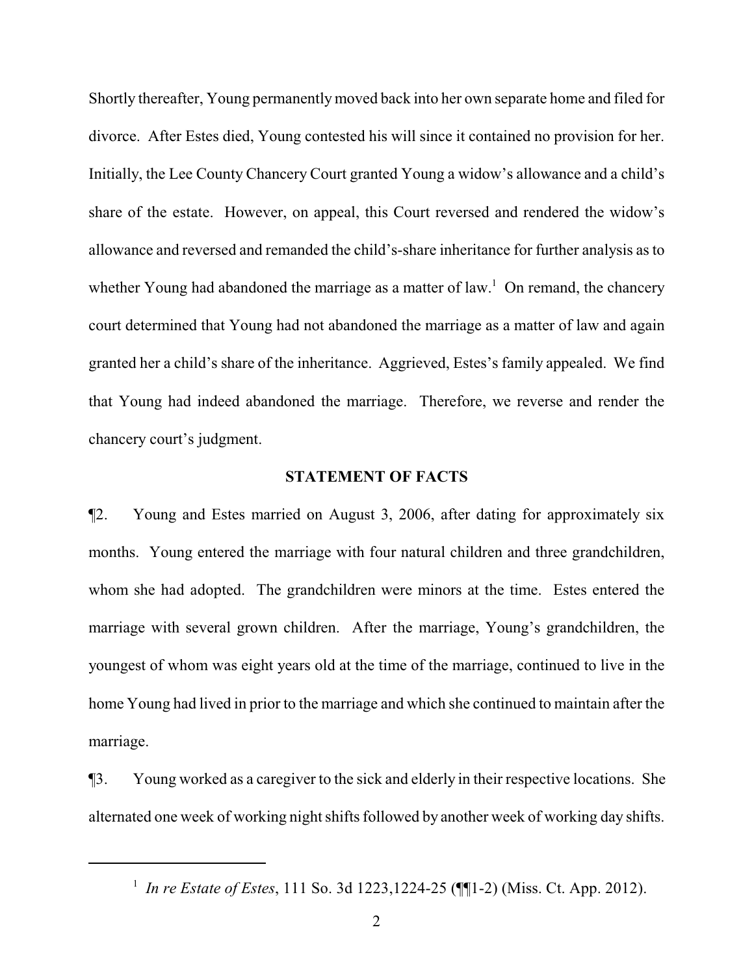Shortly thereafter, Young permanentlymoved back into her own separate home and filed for divorce. After Estes died, Young contested his will since it contained no provision for her. Initially, the Lee County Chancery Court granted Young a widow's allowance and a child's share of the estate. However, on appeal, this Court reversed and rendered the widow's allowance and reversed and remanded the child's-share inheritance for further analysis as to whether Young had abandoned the marriage as a matter of law.<sup>1</sup> On remand, the chancery court determined that Young had not abandoned the marriage as a matter of law and again granted her a child's share of the inheritance. Aggrieved, Estes's family appealed. We find that Young had indeed abandoned the marriage. Therefore, we reverse and render the chancery court's judgment.

### **STATEMENT OF FACTS**

¶2. Young and Estes married on August 3, 2006, after dating for approximately six months. Young entered the marriage with four natural children and three grandchildren, whom she had adopted. The grandchildren were minors at the time. Estes entered the marriage with several grown children. After the marriage, Young's grandchildren, the youngest of whom was eight years old at the time of the marriage, continued to live in the home Young had lived in prior to the marriage and which she continued to maintain after the marriage.

¶3. Young worked as a caregiver to the sick and elderly in their respective locations. She alternated one week of working night shifts followed by another week of working day shifts.

<sup>1</sup> *In re Estate of Estes*, 111 So. 3d 1223,1224-25 (¶¶1-2) (Miss. Ct. App. 2012).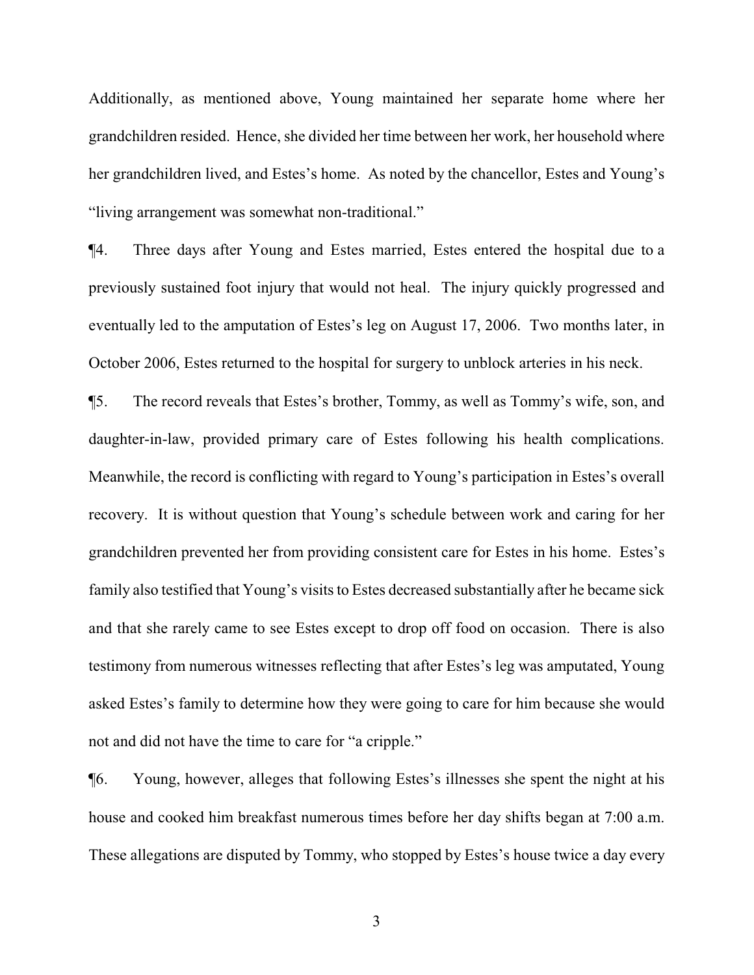Additionally, as mentioned above, Young maintained her separate home where her grandchildren resided. Hence, she divided her time between her work, her household where her grandchildren lived, and Estes's home. As noted by the chancellor, Estes and Young's "living arrangement was somewhat non-traditional."

¶4. Three days after Young and Estes married, Estes entered the hospital due to a previously sustained foot injury that would not heal. The injury quickly progressed and eventually led to the amputation of Estes's leg on August 17, 2006. Two months later, in October 2006, Estes returned to the hospital for surgery to unblock arteries in his neck.

¶5. The record reveals that Estes's brother, Tommy, as well as Tommy's wife, son, and daughter-in-law, provided primary care of Estes following his health complications. Meanwhile, the record is conflicting with regard to Young's participation in Estes's overall recovery. It is without question that Young's schedule between work and caring for her grandchildren prevented her from providing consistent care for Estes in his home. Estes's family also testified that Young's visits to Estes decreased substantially after he became sick and that she rarely came to see Estes except to drop off food on occasion. There is also testimony from numerous witnesses reflecting that after Estes's leg was amputated, Young asked Estes's family to determine how they were going to care for him because she would not and did not have the time to care for "a cripple."

¶6. Young, however, alleges that following Estes's illnesses she spent the night at his house and cooked him breakfast numerous times before her day shifts began at 7:00 a.m. These allegations are disputed by Tommy, who stopped by Estes's house twice a day every

3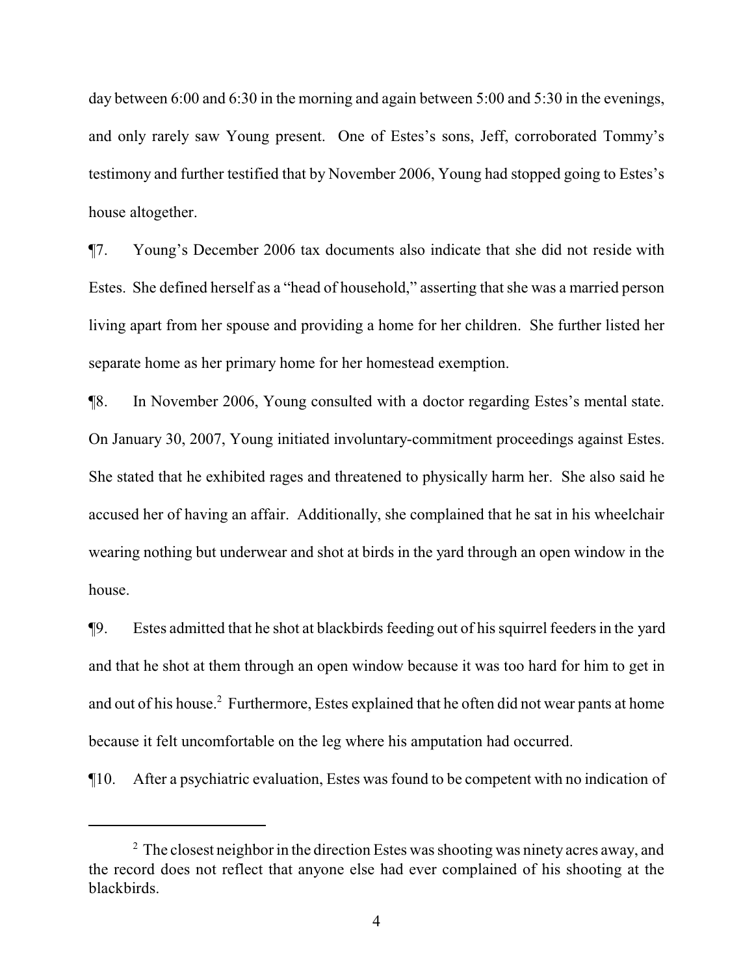day between 6:00 and 6:30 in the morning and again between 5:00 and 5:30 in the evenings, and only rarely saw Young present. One of Estes's sons, Jeff, corroborated Tommy's testimony and further testified that by November 2006, Young had stopped going to Estes's house altogether.

¶7. Young's December 2006 tax documents also indicate that she did not reside with Estes. She defined herself as a "head of household," asserting that she was a married person living apart from her spouse and providing a home for her children. She further listed her separate home as her primary home for her homestead exemption.

¶8. In November 2006, Young consulted with a doctor regarding Estes's mental state. On January 30, 2007, Young initiated involuntary-commitment proceedings against Estes. She stated that he exhibited rages and threatened to physically harm her. She also said he accused her of having an affair. Additionally, she complained that he sat in his wheelchair wearing nothing but underwear and shot at birds in the yard through an open window in the house.

¶9. Estes admitted that he shot at blackbirds feeding out of his squirrel feeders in the yard and that he shot at them through an open window because it was too hard for him to get in and out of his house.<sup>2</sup> Furthermore, Estes explained that he often did not wear pants at home because it felt uncomfortable on the leg where his amputation had occurred.

¶10. After a psychiatric evaluation, Estes was found to be competent with no indication of

 $2\degree$  The closest neighbor in the direction Estes was shooting was ninety acres away, and the record does not reflect that anyone else had ever complained of his shooting at the blackbirds.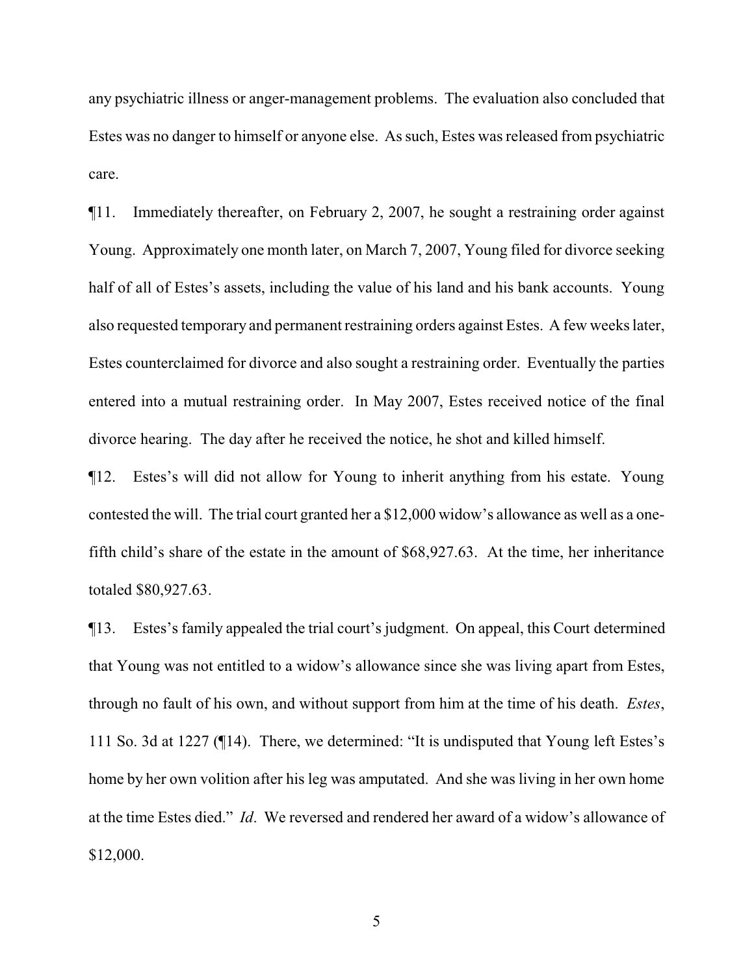any psychiatric illness or anger-management problems. The evaluation also concluded that Estes was no danger to himself or anyone else. As such, Estes was released from psychiatric care.

¶11. Immediately thereafter, on February 2, 2007, he sought a restraining order against Young. Approximately one month later, on March 7, 2007, Young filed for divorce seeking half of all of Estes's assets, including the value of his land and his bank accounts. Young also requested temporary and permanent restraining orders against Estes. A few weeks later, Estes counterclaimed for divorce and also sought a restraining order. Eventually the parties entered into a mutual restraining order. In May 2007, Estes received notice of the final divorce hearing. The day after he received the notice, he shot and killed himself.

¶12. Estes's will did not allow for Young to inherit anything from his estate. Young contested the will. The trial court granted her a \$12,000 widow's allowance as well as a onefifth child's share of the estate in the amount of \$68,927.63. At the time, her inheritance totaled \$80,927.63.

¶13. Estes's family appealed the trial court's judgment. On appeal, this Court determined that Young was not entitled to a widow's allowance since she was living apart from Estes, through no fault of his own, and without support from him at the time of his death. *Estes*, 111 So. 3d at 1227 (¶14). There, we determined: "It is undisputed that Young left Estes's home by her own volition after his leg was amputated. And she was living in her own home at the time Estes died." *Id*. We reversed and rendered her award of a widow's allowance of \$12,000.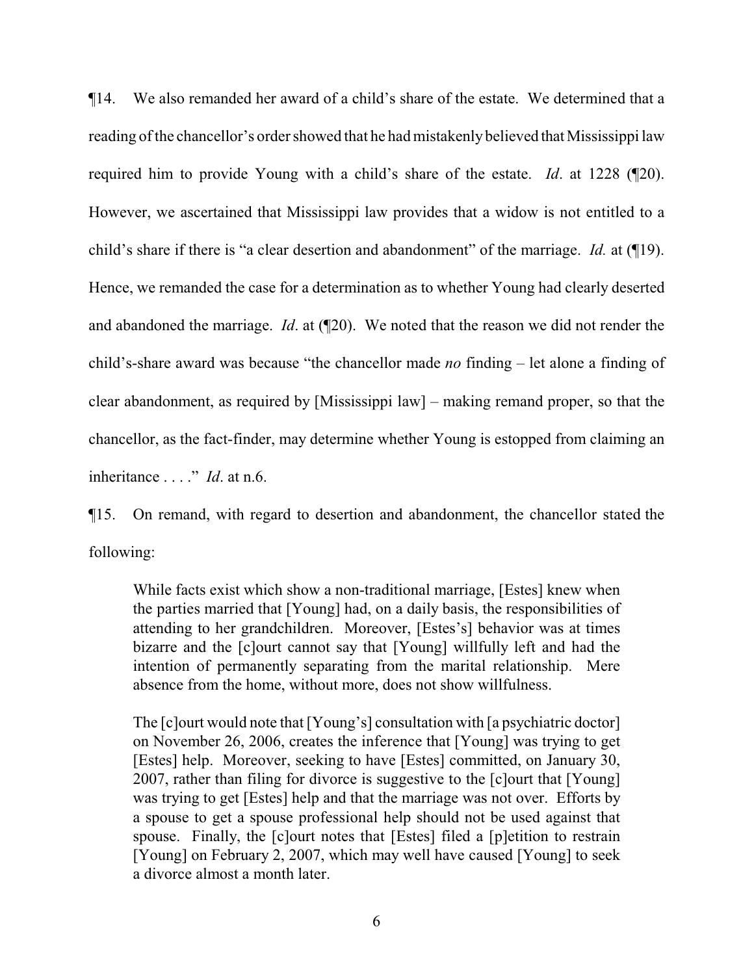¶14. We also remanded her award of a child's share of the estate. We determined that a reading of the chancellor's order showed that he had mistakenly believed that Mississippi law required him to provide Young with a child's share of the estate. *Id*. at 1228 (¶20). However, we ascertained that Mississippi law provides that a widow is not entitled to a child's share if there is "a clear desertion and abandonment" of the marriage. *Id.* at (¶19). Hence, we remanded the case for a determination as to whether Young had clearly deserted and abandoned the marriage. *Id*. at (¶20). We noted that the reason we did not render the child's-share award was because "the chancellor made *no* finding – let alone a finding of clear abandonment, as required by [Mississippi law] – making remand proper, so that the chancellor, as the fact-finder, may determine whether Young is estopped from claiming an inheritance . . . ." *Id*. at n.6.

¶15. On remand, with regard to desertion and abandonment, the chancellor stated the following:

While facts exist which show a non-traditional marriage, [Estes] knew when the parties married that [Young] had, on a daily basis, the responsibilities of attending to her grandchildren. Moreover, [Estes's] behavior was at times bizarre and the [c]ourt cannot say that [Young] willfully left and had the intention of permanently separating from the marital relationship. Mere absence from the home, without more, does not show willfulness.

The [c]ourt would note that [Young's] consultation with [a psychiatric doctor] on November 26, 2006, creates the inference that [Young] was trying to get [Estes] help. Moreover, seeking to have [Estes] committed, on January 30, 2007, rather than filing for divorce is suggestive to the [c]ourt that [Young] was trying to get [Estes] help and that the marriage was not over. Efforts by a spouse to get a spouse professional help should not be used against that spouse. Finally, the [c]ourt notes that [Estes] filed a [p]etition to restrain [Young] on February 2, 2007, which may well have caused [Young] to seek a divorce almost a month later.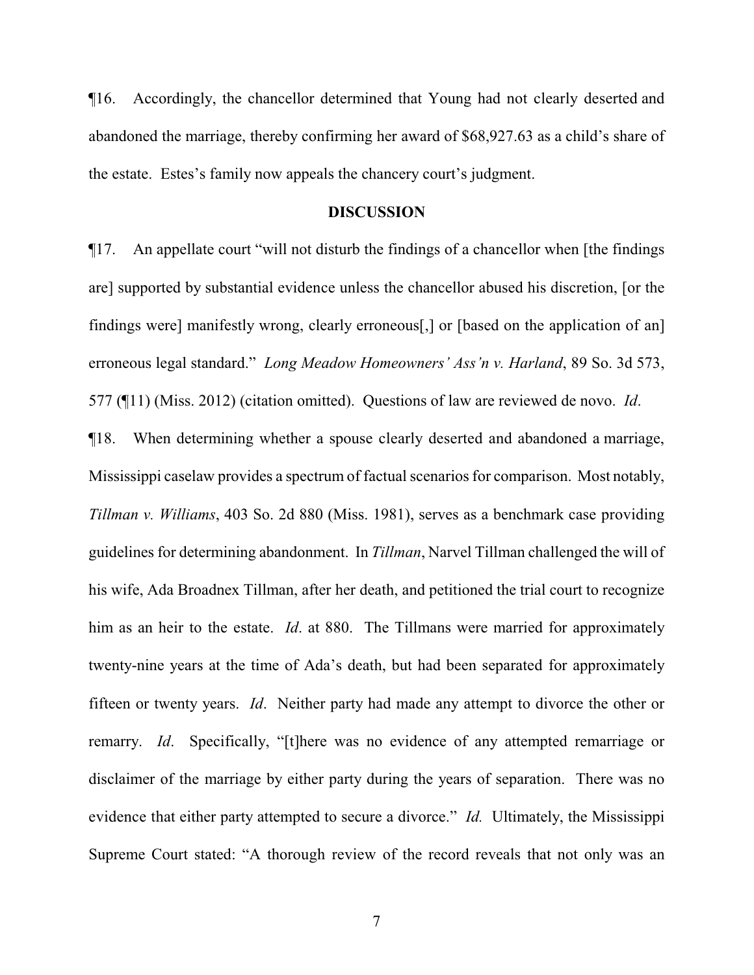¶16. Accordingly, the chancellor determined that Young had not clearly deserted and abandoned the marriage, thereby confirming her award of \$68,927.63 as a child's share of the estate. Estes's family now appeals the chancery court's judgment.

### **DISCUSSION**

¶17. An appellate court "will not disturb the findings of a chancellor when [the findings are] supported by substantial evidence unless the chancellor abused his discretion, [or the findings were] manifestly wrong, clearly erroneous[,] or [based on the application of an] erroneous legal standard." *Long Meadow Homeowners' Ass'n v. Harland*, 89 So. 3d 573, 577 (¶11) (Miss. 2012) (citation omitted). Questions of law are reviewed de novo. *Id*.

¶18. When determining whether a spouse clearly deserted and abandoned a marriage, Mississippi caselaw provides a spectrum of factual scenarios for comparison. Most notably, *Tillman v. Williams*, 403 So. 2d 880 (Miss. 1981), serves as a benchmark case providing guidelines for determining abandonment. In *Tillman*, Narvel Tillman challenged the will of his wife, Ada Broadnex Tillman, after her death, and petitioned the trial court to recognize him as an heir to the estate. *Id*. at 880. The Tillmans were married for approximately twenty-nine years at the time of Ada's death, but had been separated for approximately fifteen or twenty years. *Id*. Neither party had made any attempt to divorce the other or remarry. *Id*. Specifically, "[t]here was no evidence of any attempted remarriage or disclaimer of the marriage by either party during the years of separation. There was no evidence that either party attempted to secure a divorce." *Id.* Ultimately, the Mississippi Supreme Court stated: "A thorough review of the record reveals that not only was an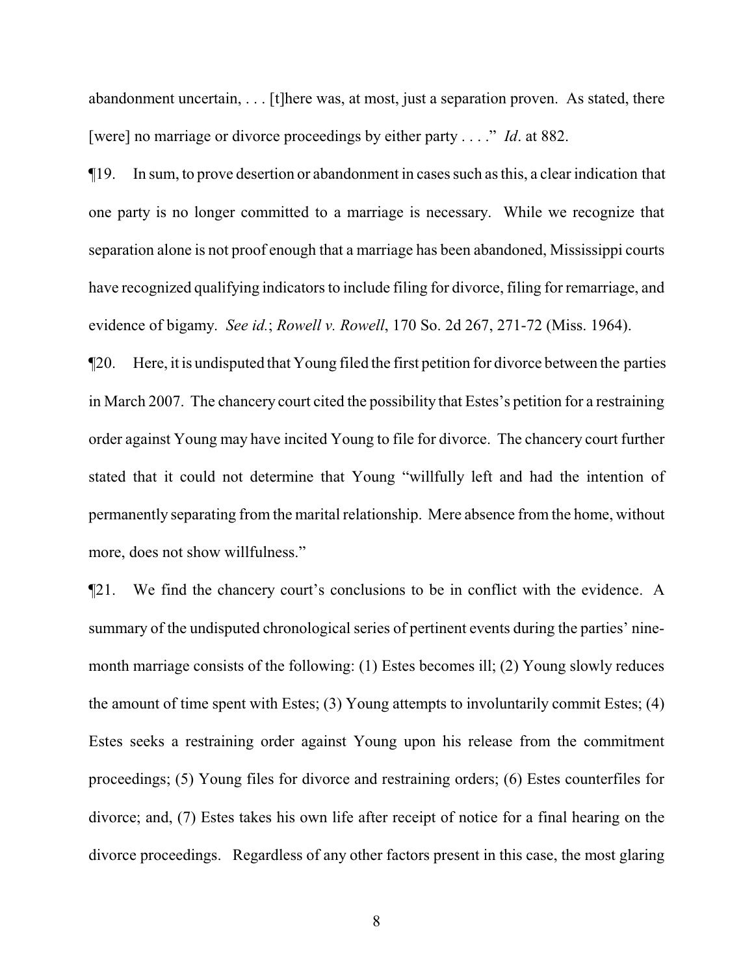abandonment uncertain, . . . [t]here was, at most, just a separation proven. As stated, there [were] no marriage or divorce proceedings by either party . . . ." *Id*. at 882.

¶19. In sum, to prove desertion or abandonment in cases such as this, a clear indication that one party is no longer committed to a marriage is necessary. While we recognize that separation alone is not proof enough that a marriage has been abandoned, Mississippi courts have recognized qualifying indicators to include filing for divorce, filing for remarriage, and evidence of bigamy. *See id.*; *Rowell v. Rowell*, 170 So. 2d 267, 271-72 (Miss. 1964).

¶20. Here, it is undisputed that Young filed the first petition for divorce between the parties in March 2007. The chancery court cited the possibility that Estes's petition for a restraining order against Young may have incited Young to file for divorce. The chancery court further stated that it could not determine that Young "willfully left and had the intention of permanently separating from the marital relationship. Mere absence from the home, without more, does not show willfulness."

¶21. We find the chancery court's conclusions to be in conflict with the evidence. A summary of the undisputed chronological series of pertinent events during the parties' ninemonth marriage consists of the following: (1) Estes becomes ill; (2) Young slowly reduces the amount of time spent with Estes; (3) Young attempts to involuntarily commit Estes; (4) Estes seeks a restraining order against Young upon his release from the commitment proceedings; (5) Young files for divorce and restraining orders; (6) Estes counterfiles for divorce; and, (7) Estes takes his own life after receipt of notice for a final hearing on the divorce proceedings. Regardless of any other factors present in this case, the most glaring